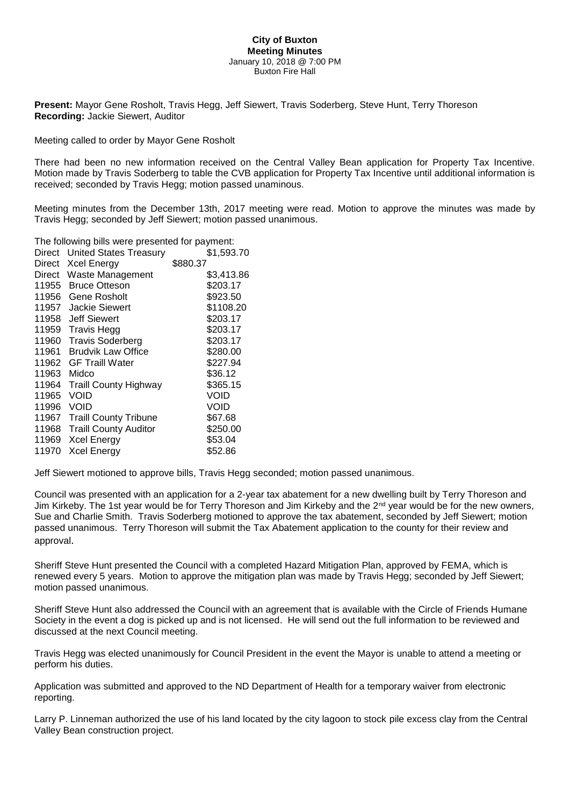## **City of Buxton Meeting Minutes** January 10, 2018 @ 7:00 PM Buxton Fire Hall

**Present:** Mayor Gene Rosholt, Travis Hegg, Jeff Siewert, Travis Soderberg, Steve Hunt, Terry Thoreson **Recording:** Jackie Siewert, Auditor

Meeting called to order by Mayor Gene Rosholt

There had been no new information received on the Central Valley Bean application for Property Tax Incentive. Motion made by Travis Soderberg to table the CVB application for Property Tax Incentive until additional information is received; seconded by Travis Hegg; motion passed unaminous.

Meeting minutes from the December 13th, 2017 meeting were read. Motion to approve the minutes was made by Travis Hegg; seconded by Jeff Siewert; motion passed unanimous.

The following bills were presented for payment:

| \$1,593.70 |
|------------|
| \$880.37   |
| \$3,413.86 |
| \$203.17   |
| \$923.50   |
| \$1108.20  |
| \$203.17   |
| \$203.17   |
| \$203.17   |
| \$280.00   |
| \$227.94   |
| \$36.12    |
| \$365.15   |
| VOID       |
| Void       |
| \$67.68    |
| \$250.00   |
| \$53.04    |
| \$52.86    |
|            |

Jeff Siewert motioned to approve bills, Travis Hegg seconded; motion passed unanimous.

Council was presented with an application for a 2-year tax abatement for a new dwelling built by Terry Thoreson and Jim Kirkeby. The 1st year would be for Terry Thoreson and Jim Kirkeby and the 2<sup>nd</sup> year would be for the new owners, Sue and Charlie Smith. Travis Soderberg motioned to approve the tax abatement, seconded by Jeff Siewert; motion passed unanimous. Terry Thoreson will submit the Tax Abatement application to the county for their review and approval.

Sheriff Steve Hunt presented the Council with a completed Hazard Mitigation Plan, approved by FEMA, which is renewed every 5 years. Motion to approve the mitigation plan was made by Travis Hegg; seconded by Jeff Siewert; motion passed unanimous.

Sheriff Steve Hunt also addressed the Council with an agreement that is available with the Circle of Friends Humane Society in the event a dog is picked up and is not licensed. He will send out the full information to be reviewed and discussed at the next Council meeting.

Travis Hegg was elected unanimously for Council President in the event the Mayor is unable to attend a meeting or perform his duties.

Application was submitted and approved to the ND Department of Health for a temporary waiver from electronic reporting.

Larry P. Linneman authorized the use of his land located by the city lagoon to stock pile excess clay from the Central Valley Bean construction project.